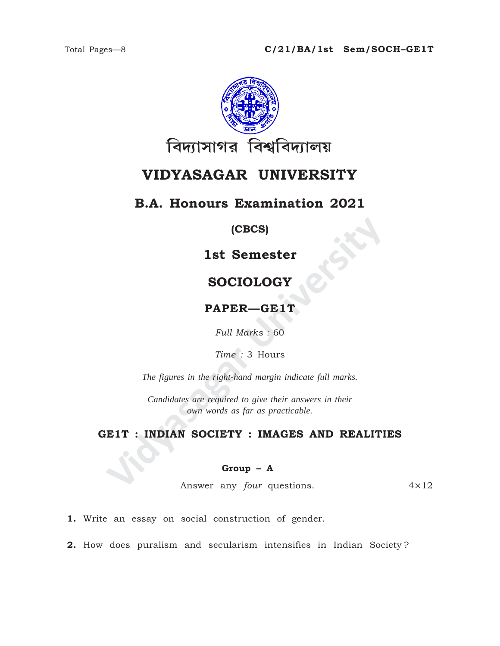

# VIDYASAGAR UNIVERSITY

# **B.A. Honours Examination 2021**

### (CBCS)

# 1st Semester

# **SOCIOLOGY**

## PAPER-GE1T

Full Marks: 60

Time: 3 Hours

The figures in the right-hand margin indicate full marks.

Candidates are required to give their answers in their own words as far as practicable.

## GE1T : INDIAN SOCIETY : IMAGES AND REALITIES

#### $Group - A$

Answer any *four* questions.  $4 \times 12$ 

1. Write an essay on social construction of gender.

2. How does puralism and secularism intensifies in Indian Society?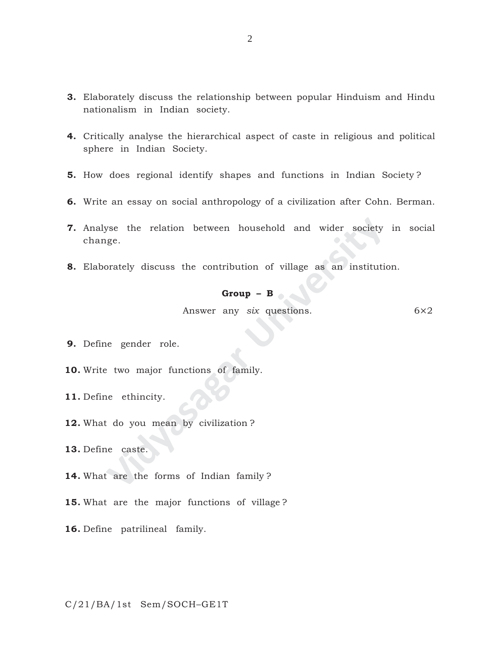- **3.** Elaborately discuss the relationship between popular Hinduism and Hindu nationalism in Indian society.
- **4.** Critically analyse the hierarchical aspect of caste in religious and political sphere in Indian Society.
- **5.** How does regional identify shapes and functions in Indian Society ?
- **6.** Write an essay on social anthropology of a civilization after Cohn. Berman.
- **Video Section** between household and wider society ge.<br> **Change Example 13** discuss the contribution of village as an institution<br> **Group B**<br>
Answer any six questions.<br>
Repeater role.<br>
2. two major functions of family.<br> **7.** Analyse the relation between household and wider society in social change.
- **8.** Elaborately discuss the contribution of village as an institution.

#### **Group – B**

Answer any *six* questions. 6×2

**9.** Define gender role.

**10.** Write two major functions of family.

**11.** Define ethincity.

**12.** What do you mean by civilization ?

**13.** Define caste.

**14.** What are the forms of Indian family ?

- **15.** What are the major functions of village ?
- **16.** Define patrilineal family.

C/21/BA/1st Sem/SOCH–GE1T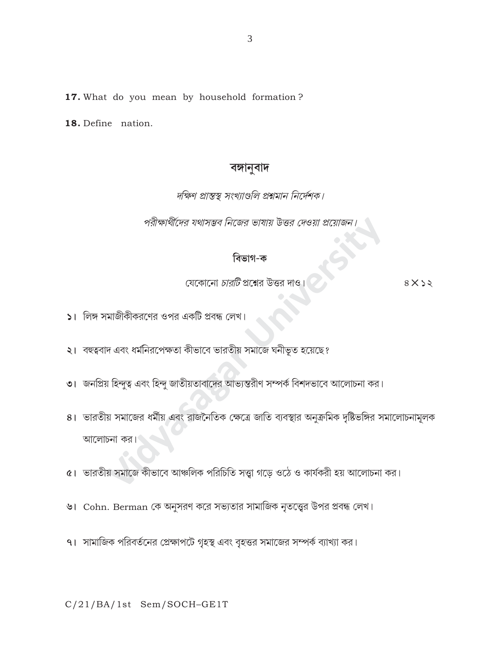17. What do you mean by household formation?

18. Define nation.

# বঙ্গানুবাদ

### দক্ষিণ প্রান্তস্থ সংখ্যাগুলি প্রশ্নমান নির্দেশক।

পরীক্ষার্থীদের যথাসম্ভব নিজের ভাষায় উত্তর দেওয়া প্রয়োজ

## বিভাগ-ক

যেকোনো *চারটি* প্রশ্নের উত্তর দাও

 $8\times$ 

- $|$ । লিঙ্গ সমাজীকীকরণের ওপর একটি প্রবন্ধ লেখ।
- ২। বহুত্ববাদ এবং ধর্মনিরপেক্ষতা কীভাবে ভারতীয় সমাজে ঘনীভূত হয়েছে?
- ৩। জনপ্রিয় হিন্দুত্ব এবং হিন্দু জাতীয়তাবাদের আভ্যন্তরীণ সম্পর্ক বিশদভাবে আলোচনা কর।
- ৪। ভারতীয় সমাজের ধর্মীয় এবং রাজনৈতিক ক্ষেত্রে জাতি ব্যবস্থার অনুক্রমিক দৃষ্টিভঙ্গির সমালোচনামূলক আলোচনা কর।
- ৫। ভারতীয় সমাজে কীভাবে আঞ্চলিক পরিচিতি সত্ত্বা গড়ে ওঠে ও কার্যকরী হয় আলোচনা কর।
- ৬। Cohn. Berman কে অনুসরণ করে সভ্যতার সামাজিক নৃতত্ত্বের উপর প্রবন্ধ লেখ।
- ৭। সামাজিক পরিবর্তনের প্রেক্ষাপটে গৃহস্থ এবং বৃহত্তর সমাজের সম্পর্ক ব্যাখ্যা কর।

C/21/BA/1st Sem/SOCH-GE1T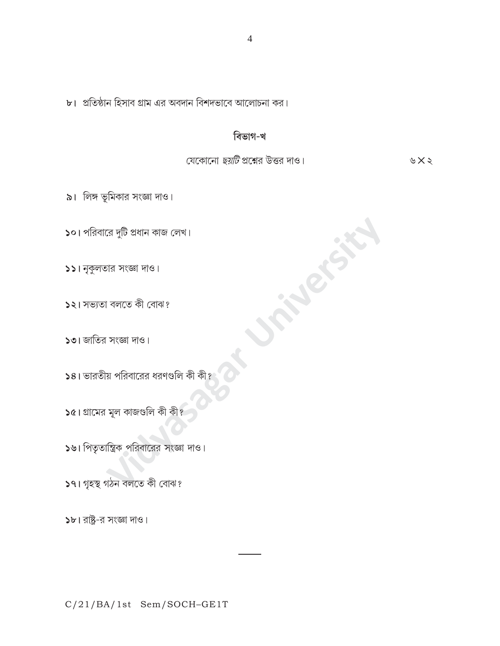C/21/BA/1st Sem/SOCH-GE1T

 $b$ । রাষ্ট্র-র সংজ্ঞা দাও।

১৭। গৃহস্থ গঠন বলতে কী বোঝ?

১৬। পিতৃতান্ত্রিক পরিবারের সংজ্ঞা দাও।

 $\sqrt{2}$ । গ্রামের মূল কাজগুলি কী কী?

 $\overline{\phantom{1}}$ ১৪। ভারতীয় পরিবারের ধরণগুলি কী কী?

 $501$  জাতির সংজ্ঞা দাও।

 $551$  নুকুলতার সংজ্ঞা দাও।

১২। সভ্যতা বলতে কী বোঝ?

 $\mathsf{S}$ ০। পরিবারে দুটি প্রধান কাজ লেখ।

৯। লিঙ্গ ভূমিকার সংজ্ঞা দাও।

যেকোনো *ছয়টি* প্রশ্নের উত্তর দাও।

in Refer

 $\forall x \in$ 

## বিভাগ-খ

৮। প্রতিষ্ঠান হিসাব গ্রাম এর অবদান বিশদভাবে আলোচনা কর।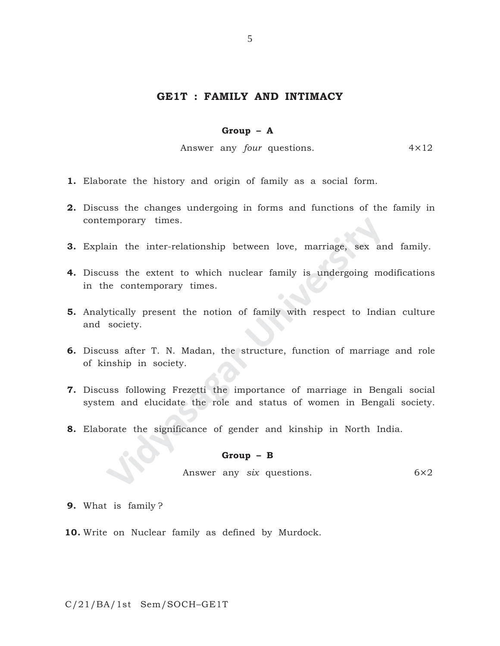#### **GE1T : FAMILY AND INTIMACY**

#### **Group – A**

Answer any *four* questions. 4×12

- **1.** Elaborate the history and origin of family as a social form.
- **2.** Discuss the changes undergoing in forms and functions of the family in contemporary times.
- **3.** Explain the inter-relationship between love, marriage, sex and family.
- mporary times.<br>
Also the inter-relationship between love, marriage, sex an<br>
1988 the extent to which nuclear family is undergoing me<br>
e contemporary times.<br>
Vically present the notion of family with respect to India<br>
socie **4.** Discuss the extent to which nuclear family is undergoing modifications in the contemporary times.
- **5.** Analytically present the notion of family with respect to Indian culture and society.
- **6.** Discuss after T. N. Madan, the structure, function of marriage and role of kinship in society.
- **7.** Discuss following Frezetti the importance of marriage in Bengali social system and elucidate the role and status of women in Bengali society.
- **8.** Elaborate the significance of gender and kinship in North India.

#### **Group – B**

Answer any *six* questions. 6×2

- **9.** What is family ?
- **10.** Write on Nuclear family as defined by Murdock.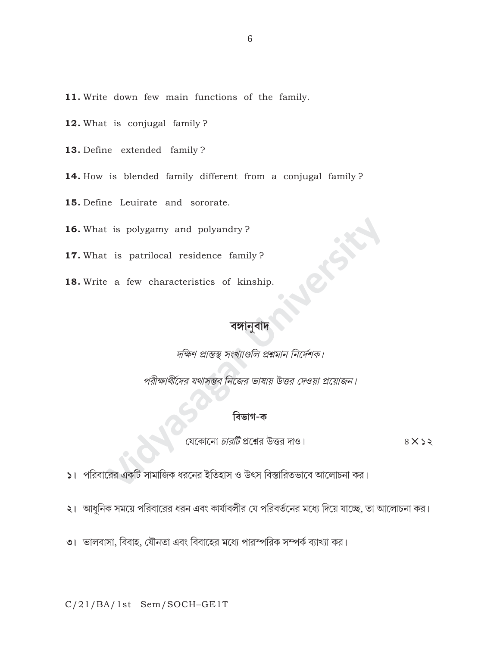- 11. Write down few main functions of the family.
- 12. What is conjugal family?
- 13. Define extended family?
- 14. How is blended family different from a conjugal family?
- 15. Define Leuirate and sororate.
- 16. What is polygamy and polyandry?
- 17. What is patrilocal residence family?
- 18. Write a few characteristics of kinship.

দক্ষিণ প্রান্তস্থ সংখ্যাগুলি প্রশ্নমান নির্দেশক।

পরীক্ষার্থীদের যথাসম্ভব নিজের ভাষায় উত্তর দেওয়া প্রয়োজন।

›<br>যেকোনো *চারটি* প্রশ্নের উত্তর দাও।  $8X$ 

১। পরিবারের একটি সামাজিক ধরনের ইতিহাস ও উৎস বিস্তারিতভাবে আলোচনা কর।

২। আধুনিক সময়ে পরিবারের ধরন এবং কার্যাবলীর যে পরিবর্তনের মধ্যে দিয়ে যাচ্ছে, তা আলোচনা কর।

৩। ভালবাসা, বিবাহ, যৌনতা এবং বিবাহের মধ্যে পারস্পরিক সম্পর্ক ব্যাখ্যা কর।

C/21/BA/1st Sem/SOCH-GE1T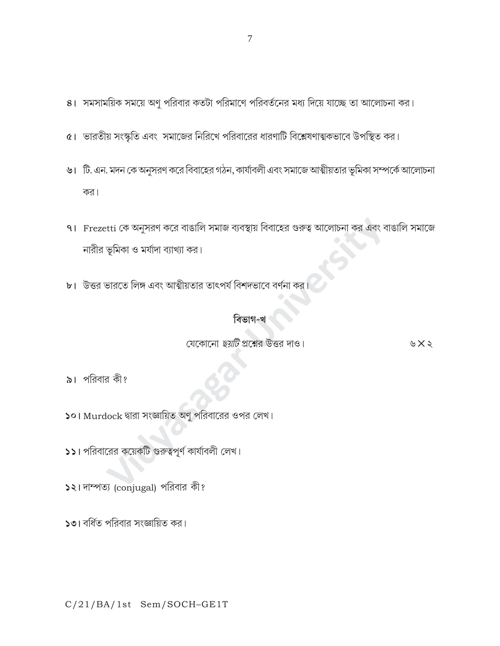- ৪। সমসাময়িক সময়ে অণু পরিবার কতটা পরিমাণে পরিবর্তনের মধ্য দিয়ে যাচ্ছে তা আলোচনা কর।
- ৫। ভারতীয় সংস্কৃতি এবং সমাজের নিরিখে পরিবারের ধারণাটি বিশ্লেষণাত্মকভাবে উপস্থিত কর।
- ৬। টি. এন. মদন কে অনুসরণ করে বিবাহের গঠন, কার্যাবলী এবং সমাজে আত্মীয়তার ভূমিকা সম্পর্কে আলোচনা কর।
- ৭। Frezetti কে অনুসরণ করে বাঙালি সমাজ ব্যবস্থায় বিবাহের গুরুত্ব আলোচনা কর এবং বাঙালি সমাজে নারীর ভূমিকা ও মর্যাদা ব্যাখ্যা কর।
- <mark>৮।</mark> উত্তর ভারতে লিঙ্গ এবং আত্মীয়তার তাৎপর্য বিশদভাবে বর্ণনা কর

## বিভাগ-খ

যেকোনো *ছয়টি* প্রশ্নের উত্তর দাও।

৯। পরিবার কী?

১০। Murdock দ্বারা সংজ্ঞায়িত অণু পরিবারের ওপর লেখ।

 $\textsf{S}$ । পরিবারের কয়েকটি গুরুত্বপূর্ণ কার্যাবলী লেখ।

১২। দাম্পত্য (conjugal) পরিবার কী?

 $\mathsf{S}$ া বর্ধিত পরিবার সংজ্ঞায়িত কর।

C/21/BA/1st Sem/SOCH-GE1T

৬ $\times$ ২